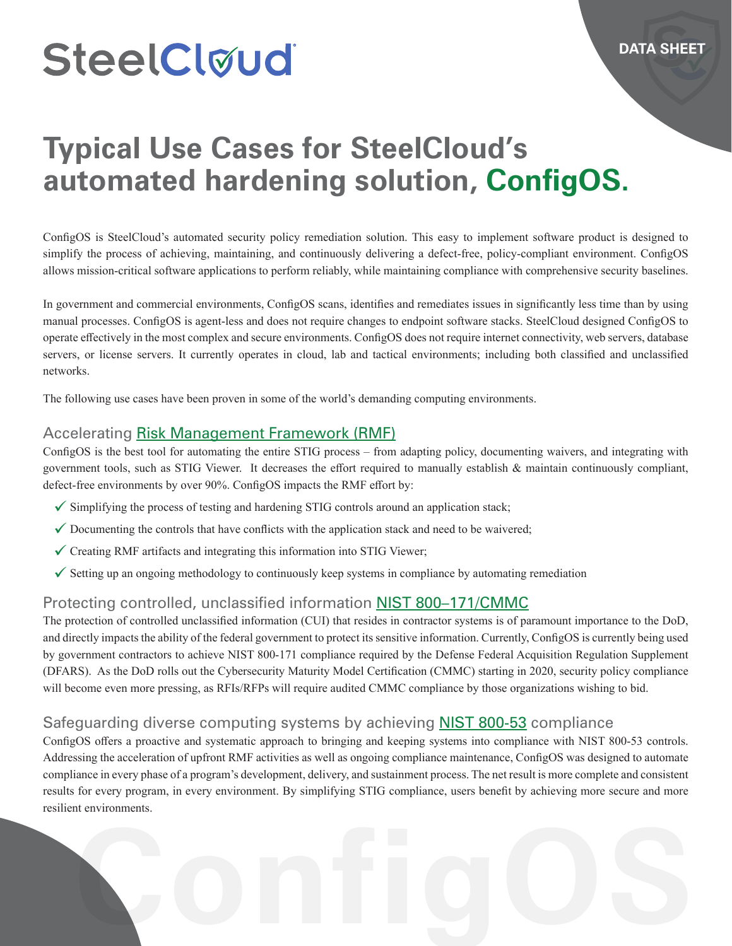# **SteelCløud**

# **Typical Use Cases for SteelCloud's automated hardening solution, ConfigOS.**

ConfigOS is SteelCloud's automated security policy remediation solution. This easy to implement software product is designed to simplify the process of achieving, maintaining, and continuously delivering a defect-free, policy-compliant environment. ConfigOS allows mission-critical software applications to perform reliably, while maintaining compliance with comprehensive security baselines.

In government and commercial environments, ConfigOS scans, identifies and remediates issues in significantly less time than by using manual processes. ConfigOS is agent-less and does not require changes to endpoint software stacks. SteelCloud designed ConfigOS to operate effectively in the most complex and secure environments. ConfigOS does not require internet connectivity, web servers, database servers, or license servers. It currently operates in cloud, lab and tactical environments; including both classified and unclassified networks.

The following use cases have been proven in some of the world's demanding computing environments.

#### Accelerating [Risk Management Framework \(RMF\)](https://www.steelcloud.com/rmf-risk-mgt-framework/)

ConfigOS is the best tool for automating the entire STIG process – from adapting policy, documenting waivers, and integrating with government tools, such as STIG Viewer. It decreases the effort required to manually establish & maintain continuously compliant, defect-free environments by over 90%. ConfigOS impacts the RMF effort by:

- $\checkmark$  Simplifying the process of testing and hardening STIG controls around an application stack;
- $\checkmark$  Documenting the controls that have conflicts with the application stack and need to be waivered;
- $\checkmark$  Creating RMF artifacts and integrating this information into STIG Viewer;
- $\checkmark$  Setting up an ongoing methodology to continuously keep systems in compliance by automating remediation

## Protecting controlled, unclassified information [NIST 800–171/CMMC](https://www.steelcloud.com/nist-800-171-cmmc/)

The protection of controlled unclassified information (CUI) that resides in contractor systems is of paramount importance to the DoD, and directly impacts the ability of the federal government to protect its sensitive information. Currently, ConfigOS is currently being used by government contractors to achieve NIST 800-171 compliance required by the Defense Federal Acquisition Regulation Supplement (DFARS). As the DoD rolls out the Cybersecurity Maturity Model Certification (CMMC) starting in 2020, security policy compliance will become even more pressing, as RFIs/RFPs will require audited CMMC compliance by those organizations wishing to bid.

## Safeguarding diverse computing systems by achieving [NIST 800-53](https://www.steelcloud.com/intel/) compliance

ConfigOS offers a proactive and systematic approach to bringing and keeping systems into compliance with NIST 800-53 controls. Addressing the acceleration of upfront RMF activities as well as ongoing compliance maintenance, ConfigOS was designed to automate compliance in every phase of a program's development, delivery, and sustainment process. The net result is more complete and consistent results for every program, in every environment. By simplifying STIG compliance, users benefit by achieving more secure and more resilient environments.

**ConfigOS**